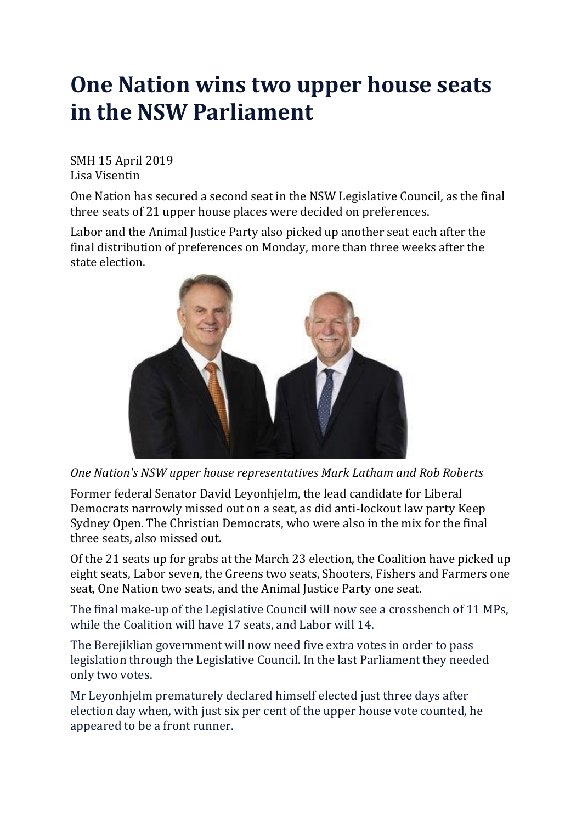## **One Nation wins two upper house seats in the NSW Parliament**

SMH 15 April 2019 Lisa Visentin

One Nation has secured a second seat in the NSW Legislative Council, as the final three seats of 21 upper house places were decided on preferences.

Labor and the Animal Justice Party also picked up another seat each after the final distribution of preferences on Monday, more than three weeks after the state electio[n.](javascript:void(0);)



*One Nation's NSW upper house representatives Mark Latham and Rob Roberts*

Former federal Senator David Leyonhjelm, the lead candidate for Liberal Democrats narrowly missed out on a seat, as did anti-lockout law party Keep Sydney Open. The Christian Democrats, who were also in the mix for the final three seats, also missed out.

Of the 21 seats up for grabs at the March 23 election, the Coalition have picked up eight seats, Labor seven, the Greens two seats, Shooters, Fishers and Farmers one seat, One Nation two seats, and the Animal Justice Party one seat.

The final make-up of the Legislative Council will now see a crossbench of 11 MPs, while the Coalition will have 17 seats, and Labor will 14.

The Berejiklian government will now need five extra votes in order to pass legislation through the Legislative Council. In the last Parliament they needed only two votes.

Mr Leyonhjelm prematurely declared himself elected just three days after election day when, with just six per cent of the upper house vote counted, he appeared to be a front runner.